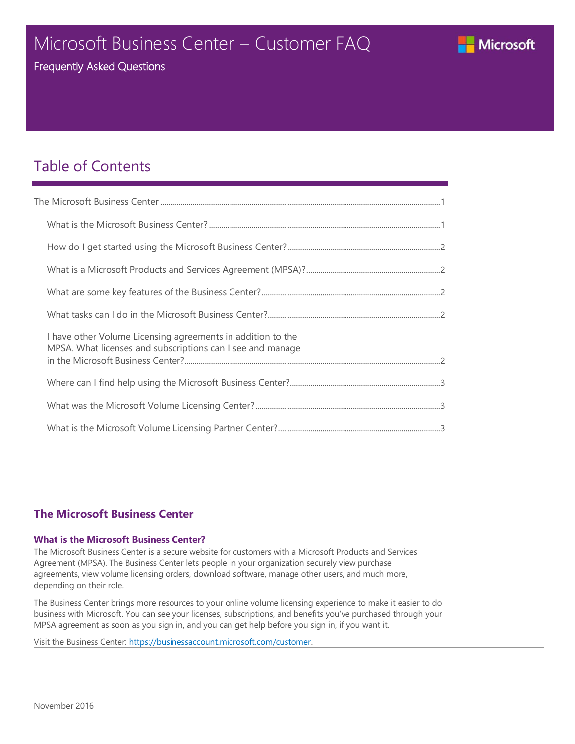### <span id="page-0-0"></span>Microsoft Business Center – Customer FAQ



Frequently Asked Questions

### Table of Contents

| I have other Volume Licensing agreements in addition to the<br>MPSA. What licenses and subscriptions can I see and manage |  |
|---------------------------------------------------------------------------------------------------------------------------|--|
|                                                                                                                           |  |
|                                                                                                                           |  |
|                                                                                                                           |  |

### **The Microsoft Business Center**

#### **What is the Microsoft Business Center?**

The Microsoft Business Center is a secure website for customers with a Microsoft Products and Services Agreement (MPSA). The Business Center lets people in your organization securely view purchase agreements, view volume licensing orders, download software, manage other users, and much more, depending on their role.

The Business Center brings more resources to your online volume licensing experience to make it easier to do business with Microsoft. You can see your licenses, subscriptions, and benefits you've purchased through your MPSA agreement as soon as you sign in, and you can get help before you sign in, if you want it.

Visit the Business Center[: https://businessaccount.microsoft.com/customer.](https://businessaccount.microsoft.com/customer)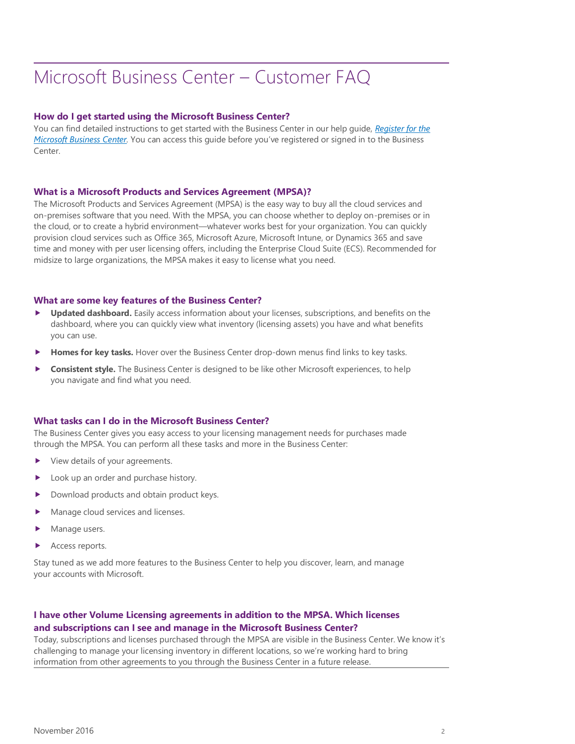# <span id="page-1-0"></span>Microsoft Business Center – Customer FAQ

#### **How do I get started using the Microsoft Business Center?**

You can find detailed instructions to get started with the Business Center in our help guide, *[Register for the](http://download.microsoft.com/download/6/E/5/6E5AC074-CB46-4223-85DE-7BCF73CDA4AA/D15-BCP-Register-for-the-Business-Center.pdf) [Microsoft Business Center.](http://download.microsoft.com/download/6/E/5/6E5AC074-CB46-4223-85DE-7BCF73CDA4AA/D15-BCP-Register-for-the-Business-Center.pdf)* You can access this guide before you've registered or signed in to the Business Center.

#### **What is a Microsoft Products and Services Agreement (MPSA)?**

The Microsoft Products and Services Agreement (MPSA) is the easy way to buy all the cloud services and on-premises software that you need. With the MPSA, you can choose whether to deploy on-premises or in the cloud, or to create a hybrid environment—whatever works best for your organization. You can quickly provision cloud services such as Office 365, Microsoft Azure, Microsoft Intune, or Dynamics 365 and save time and money with per user licensing offers, including the Enterprise Cloud Suite (ECS). Recommended for midsize to large organizations, the MPSA makes it easy to license what you need.

#### **What are some key features of the Business Center?**

- **Updated dashboard.** Easily access information about your licenses, subscriptions, and benefits on the dashboard, where you can quickly view what inventory (licensing assets) you have and what benefits you can use.
- **Homes for key tasks.** Hover over the Business Center drop-down menus find links to key tasks.
- **Consistent style.** The Business Center is designed to be like other Microsoft experiences, to help you navigate and find what you need.

#### **What tasks can I do in the Microsoft Business Center?**

The Business Center gives you easy access to your licensing management needs for purchases made through the MPSA. You can perform all these tasks and more in the Business Center:

- View details of your agreements.
- Look up an order and purchase history.
- Download products and obtain product keys.
- Manage cloud services and licenses.
- Manage users.
- Access reports.

Stay tuned as we add more features to the Business Center to help you discover, learn, and manage your accounts with Microsoft.

#### **I have other Volume Licensing agreements in addition to the MPSA. Which licenses and subscriptions can I see and manage in the Microsoft Business Center?**

Today, subscriptions and licenses purchased through the MPSA are visible in the Business Center. We know it's challenging to manage your licensing inventory in different locations, so we're working hard to bring information from other agreements to you through the Business Center in a future release.